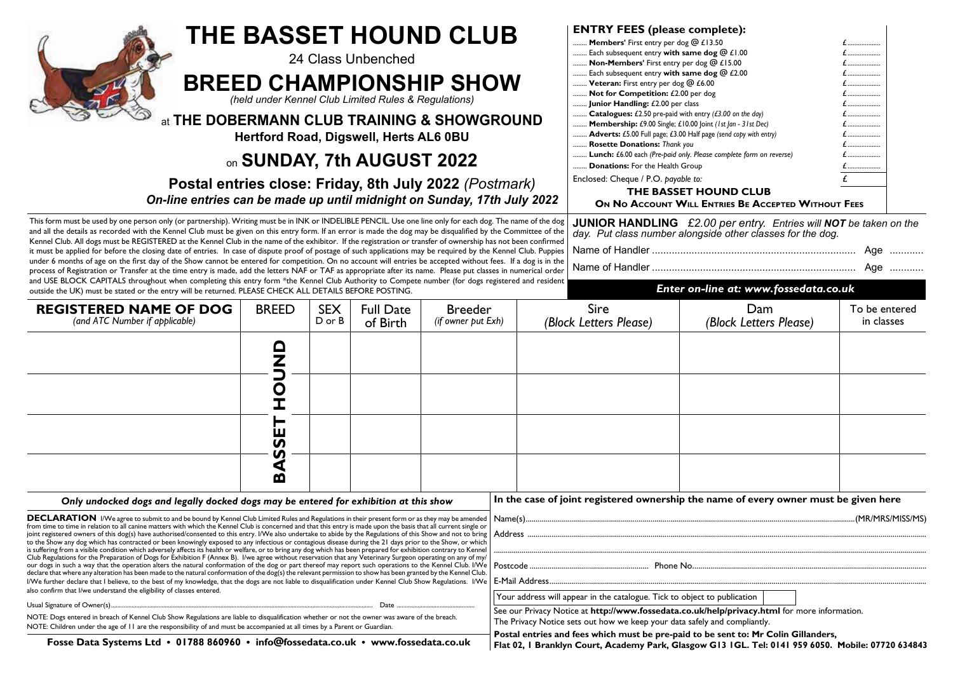| <b>THE BASSET HOUND CLUB</b><br>24 Class Unbenched<br><b>BREED CHAMPIONSHIP SHOW</b><br>(held under Kennel Club Limited Rules & Regulations)<br>at THE DOBERMANN CLUB TRAINING & SHOWGROUND<br>Hertford Road, Digswell, Herts AL6 0BU<br>on SUNDAY, 7th AUGUST 2022<br>Postal entries close: Friday, 8th July 2022 (Postmark)<br>On-line entries can be made up until midnight on Sunday, 17th July 2022<br>This form must be used by one person only (or partnership). Writing must be in INK or INDELIBLE PENCIL. Use one line only for each dog. The name of the dog                                                                                                                                                                                                                                                                                                                                                                                                                                                                                                                                                                                                                                                                                                                                                                                                                                                                                                                                                                                                                                                                                     |                              |                      |                              |                                      |                                                                                                                                                                                                                                                                                                                                                                       | <b>ENTRY FEES (please complete):</b><br>Members' First entry per dog @ £13.50<br>Each subsequent entry with same dog @ £1.00<br>Non-Members' First entry per dog @ £15.00<br>.<br>.<br>£<br>Each subsequent entry with same dog @ £2.00<br>Veteran: First entry per dog @ £6.00<br>E<br>Not for Competition: £2.00 per dog<br>£<br>Junior Handling: £2.00 per class<br>E<br>£<br>Catalogues: £2.50 pre-paid with entry $(E3.00$ on the day)<br>Membership: £9.00 Single; £10.00 Joint (1st Jan - 31st Dec)<br>E<br>£<br>Adverts: £5.00 Full page; £3.00 Half page (send copy with entry)<br>£<br>Rosette Donations: Thank you<br>£<br>Lunch: £6.00 each (Pre-paid only. Please complete form on reverse)<br><b>Donations:</b> For the Health Group<br>Enclosed: Cheque / P.O. payable to:<br>THE BASSET HOUND CLUB<br>ON NO ACCOUNT WILL ENTRIES BE ACCEPTED WITHOUT FEES |                                                                                                                                                                                     |                             |
|-------------------------------------------------------------------------------------------------------------------------------------------------------------------------------------------------------------------------------------------------------------------------------------------------------------------------------------------------------------------------------------------------------------------------------------------------------------------------------------------------------------------------------------------------------------------------------------------------------------------------------------------------------------------------------------------------------------------------------------------------------------------------------------------------------------------------------------------------------------------------------------------------------------------------------------------------------------------------------------------------------------------------------------------------------------------------------------------------------------------------------------------------------------------------------------------------------------------------------------------------------------------------------------------------------------------------------------------------------------------------------------------------------------------------------------------------------------------------------------------------------------------------------------------------------------------------------------------------------------------------------------------------------------|------------------------------|----------------------|------------------------------|--------------------------------------|-----------------------------------------------------------------------------------------------------------------------------------------------------------------------------------------------------------------------------------------------------------------------------------------------------------------------------------------------------------------------|---------------------------------------------------------------------------------------------------------------------------------------------------------------------------------------------------------------------------------------------------------------------------------------------------------------------------------------------------------------------------------------------------------------------------------------------------------------------------------------------------------------------------------------------------------------------------------------------------------------------------------------------------------------------------------------------------------------------------------------------------------------------------------------------------------------------------------------------------------------------------|-------------------------------------------------------------------------------------------------------------------------------------------------------------------------------------|-----------------------------|
| and all the details as recorded with the Kennel Club must be given on this entry form. If an error is made the dog may be disqualified by the Committee of the<br>Kennel Club. All dogs must be REGISTERED at the Kennel Club in the name of the exhibitor. If the registration or transfer of ownership has not been confirmed<br>it must be applied for before the closing date of entries. In case of dispute proof of postage of such applications may be required by the Kennel Club. Puppies<br>under 6 months of age on the first day of the Show cannot be entered for competition. On no account will entries be accepted without fees. If a dog is in the<br>process of Registration or Transfer at the time entry is made, add the letters NAF or TAF as appropriate after its name. Please put classes in numerical order<br>and USE BLOCK CAPITALS throughout when completing this entry form *the Kennel Club Authority to Compete number (for dogs registered and resident<br>outside the UK) must be stated or the entry will be returned. PLEASE CHECK ALL DETAILS BEFORE POSTING.                                                                                                                                                                                                                                                                                                                                                                                                                                                                                                                                                         |                              |                      |                              |                                      |                                                                                                                                                                                                                                                                                                                                                                       |                                                                                                                                                                                                                                                                                                                                                                                                                                                                                                                                                                                                                                                                                                                                                                                                                                                                           | <b>JUNIOR HANDLING</b> £2.00 per entry. Entries will <b>NOT</b> be taken on the day. Put class number alongside other classes for the dog.<br>Enter on-line at: www.fossedata.co.uk | Age<br>Age                  |
| <b>REGISTERED NAME OF DOG</b><br>(and ATC Number if applicable)                                                                                                                                                                                                                                                                                                                                                                                                                                                                                                                                                                                                                                                                                                                                                                                                                                                                                                                                                                                                                                                                                                                                                                                                                                                                                                                                                                                                                                                                                                                                                                                             | <b>BREED</b>                 | <b>SEX</b><br>D or B | <b>Full Date</b><br>of Birth | <b>Breeder</b><br>(if owner put Exh) |                                                                                                                                                                                                                                                                                                                                                                       | Sire<br>(Block Letters Please)                                                                                                                                                                                                                                                                                                                                                                                                                                                                                                                                                                                                                                                                                                                                                                                                                                            | Dam<br>(Block Letters Please)                                                                                                                                                       | To be entered<br>in classes |
|                                                                                                                                                                                                                                                                                                                                                                                                                                                                                                                                                                                                                                                                                                                                                                                                                                                                                                                                                                                                                                                                                                                                                                                                                                                                                                                                                                                                                                                                                                                                                                                                                                                             | <b>ONUC</b><br>Í             |                      |                              |                                      |                                                                                                                                                                                                                                                                                                                                                                       |                                                                                                                                                                                                                                                                                                                                                                                                                                                                                                                                                                                                                                                                                                                                                                                                                                                                           |                                                                                                                                                                                     |                             |
|                                                                                                                                                                                                                                                                                                                                                                                                                                                                                                                                                                                                                                                                                                                                                                                                                                                                                                                                                                                                                                                                                                                                                                                                                                                                                                                                                                                                                                                                                                                                                                                                                                                             | ш<br><b>S</b><br>n<br>₫<br>m |                      |                              |                                      |                                                                                                                                                                                                                                                                                                                                                                       |                                                                                                                                                                                                                                                                                                                                                                                                                                                                                                                                                                                                                                                                                                                                                                                                                                                                           |                                                                                                                                                                                     |                             |
| Only undocked dogs and legally docked dogs may be entered for exhibition at this show<br><b>DECLARATION</b> I/We agree to submit to and be bound by Kennel Club Limited Rules and Regulations in their present form or as they may be amended<br>from time to time in relation to all canine matters with which the Kennel Club is concerned and that this entry is made upon the basis that all current single or<br>joint registered owners of this dog(s) have authorised/consented to this entry. I/We also undertake to abide by the Regulations of this Show and not to bring<br>to the Show any dog which has contracted or been knowingly exposed to any infectious or contagious disease during the 21 days prior to the Show, or which<br>is suffering from a visible condition which adversely affects its health or welfare, or to bring any dog which has been prepared for exhibition contrary to Kennel<br>Club Regulations for the Preparation of Dogs for Exhibition F (Annex B). I/we agree without reservation that any Veterinary Surgeon operating on any of my/<br>our dogs in such a way that the operation alters the natural conformation of the dog or part thereof may report such operations to the Kennel Club. I/We<br>declare that where any alteration has been made to the natural conformation of the dog(s) the relevant permission to show has been granted by the Kennel Club.<br>I/We further declare that I believe, to the best of my knowledge, that the dogs are not liable to disqualification under Kennel Club Show Regulations. I/We<br>also confirm that I/we understand the eligibility of classes entered. |                              |                      |                              |                                      | In the case of joint registered ownership the name of every owner must be given here<br>Your address will appear in the catalogue. Tick to object to publication                                                                                                                                                                                                      |                                                                                                                                                                                                                                                                                                                                                                                                                                                                                                                                                                                                                                                                                                                                                                                                                                                                           |                                                                                                                                                                                     |                             |
| Usual Signature of Owner(s)<br>Date<br>NOTE: Dogs entered in breach of Kennel Club Show Regulations are liable to disqualification whether or not the owner was aware of the breach.<br>NOTE: Children under the age of II are the responsibility of and must be accompanied at all times by a Parent or Guardian.<br>Fosse Data Systems Ltd · 01788 860960 · info@fossedata.co.uk · www.fossedata.co.uk                                                                                                                                                                                                                                                                                                                                                                                                                                                                                                                                                                                                                                                                                                                                                                                                                                                                                                                                                                                                                                                                                                                                                                                                                                                    |                              |                      |                              |                                      | See our Privacy Notice at http://www.fossedata.co.uk/help/privacy.html for more information.<br>The Privacy Notice sets out how we keep your data safely and compliantly.<br>Postal entries and fees which must be pre-paid to be sent to: Mr Colin Gillanders,<br>Flat 02, I Branklyn Court, Academy Park, Glasgow G13 IGL. Tel: 0141 959 6050. Mobile: 07720 634843 |                                                                                                                                                                                                                                                                                                                                                                                                                                                                                                                                                                                                                                                                                                                                                                                                                                                                           |                                                                                                                                                                                     |                             |